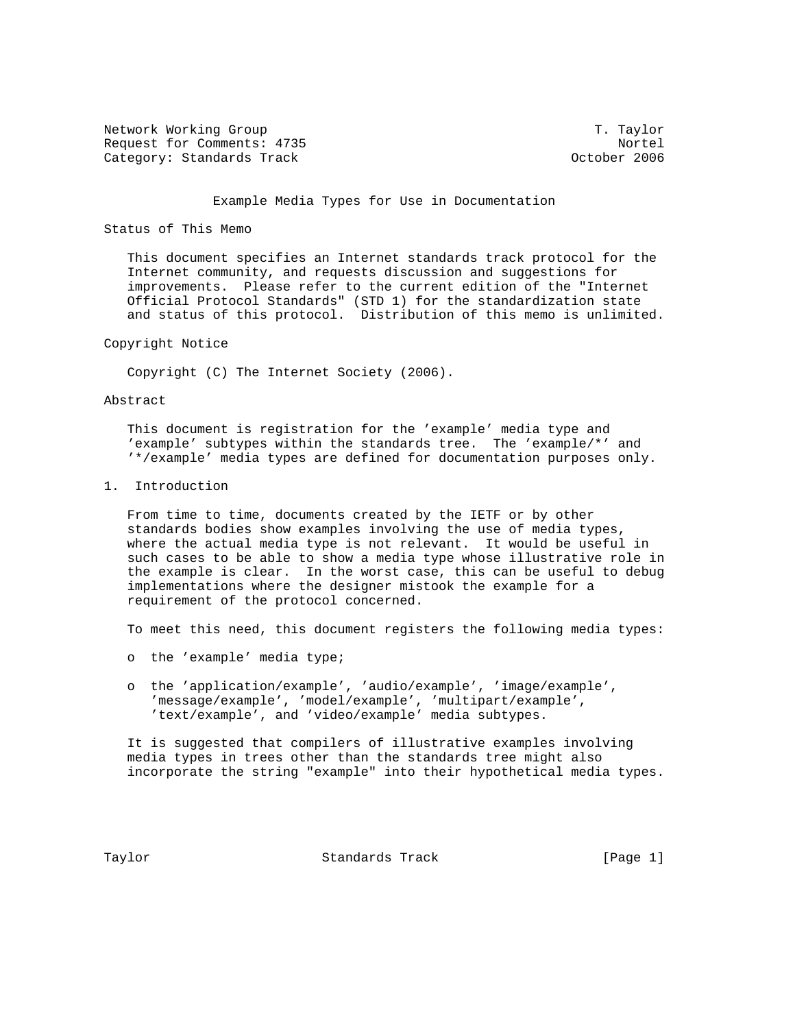Network Working Group T. Taylor Request for Comments: 4735<br>Category: Standards Track Nortel (Category: Standards Track Category: Standards Track

## Example Media Types for Use in Documentation

## Status of This Memo

 This document specifies an Internet standards track protocol for the Internet community, and requests discussion and suggestions for improvements. Please refer to the current edition of the "Internet Official Protocol Standards" (STD 1) for the standardization state and status of this protocol. Distribution of this memo is unlimited.

## Copyright Notice

Copyright (C) The Internet Society (2006).

## Abstract

 This document is registration for the 'example' media type and 'example' subtypes within the standards tree. The 'example/\*' and '\*/example' media types are defined for documentation purposes only.

1. Introduction

 From time to time, documents created by the IETF or by other standards bodies show examples involving the use of media types, where the actual media type is not relevant. It would be useful in such cases to be able to show a media type whose illustrative role in the example is clear. In the worst case, this can be useful to debug implementations where the designer mistook the example for a requirement of the protocol concerned.

To meet this need, this document registers the following media types:

- o the 'example' media type;
- o the 'application/example', 'audio/example', 'image/example', 'message/example', 'model/example', 'multipart/example', 'text/example', and 'video/example' media subtypes.

 It is suggested that compilers of illustrative examples involving media types in trees other than the standards tree might also incorporate the string "example" into their hypothetical media types.

Taylor **Standards Track** [Page 1]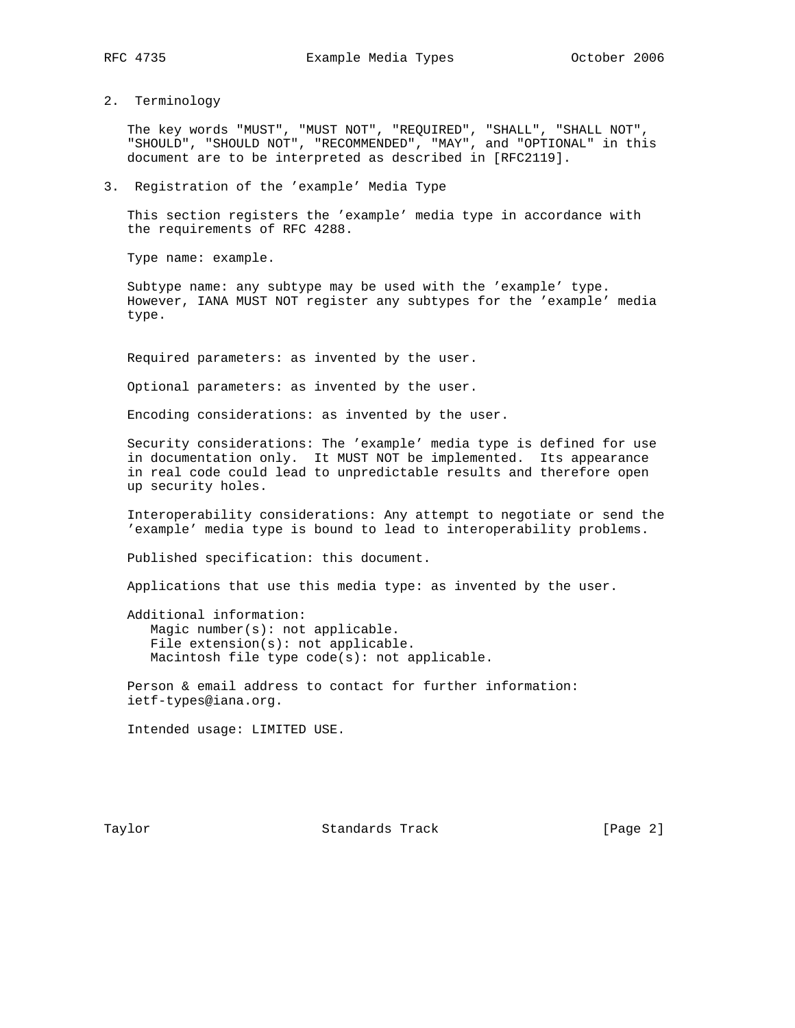2. Terminology

 The key words "MUST", "MUST NOT", "REQUIRED", "SHALL", "SHALL NOT", "SHOULD", "SHOULD NOT", "RECOMMENDED", "MAY", and "OPTIONAL" in this document are to be interpreted as described in [RFC2119].

3. Registration of the 'example' Media Type

 This section registers the 'example' media type in accordance with the requirements of RFC 4288.

Type name: example.

 Subtype name: any subtype may be used with the 'example' type. However, IANA MUST NOT register any subtypes for the 'example' media type.

Required parameters: as invented by the user.

Optional parameters: as invented by the user.

Encoding considerations: as invented by the user.

 Security considerations: The 'example' media type is defined for use in documentation only. It MUST NOT be implemented. Its appearance in real code could lead to unpredictable results and therefore open up security holes.

 Interoperability considerations: Any attempt to negotiate or send the 'example' media type is bound to lead to interoperability problems.

Published specification: this document.

Applications that use this media type: as invented by the user.

 Additional information: Magic number(s): not applicable. File extension(s): not applicable. Macintosh file type code(s): not applicable.

 Person & email address to contact for further information: ietf-types@iana.org.

Intended usage: LIMITED USE.

Taylor **Standards Track** [Page 2]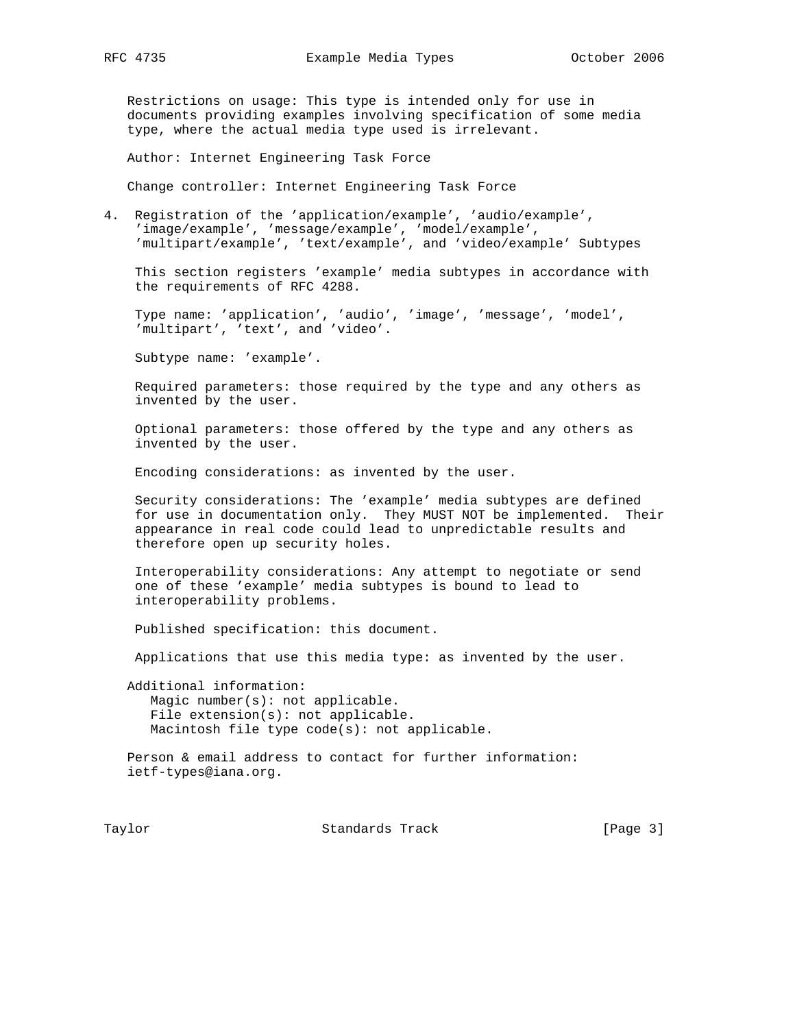Restrictions on usage: This type is intended only for use in documents providing examples involving specification of some media type, where the actual media type used is irrelevant.

Author: Internet Engineering Task Force

Change controller: Internet Engineering Task Force

4. Registration of the 'application/example', 'audio/example', 'image/example', 'message/example', 'model/example', 'multipart/example', 'text/example', and 'video/example' Subtypes

 This section registers 'example' media subtypes in accordance with the requirements of RFC 4288.

 Type name: 'application', 'audio', 'image', 'message', 'model', 'multipart', 'text', and 'video'.

Subtype name: 'example'.

 Required parameters: those required by the type and any others as invented by the user.

 Optional parameters: those offered by the type and any others as invented by the user.

Encoding considerations: as invented by the user.

 Security considerations: The 'example' media subtypes are defined for use in documentation only. They MUST NOT be implemented. Their appearance in real code could lead to unpredictable results and therefore open up security holes.

 Interoperability considerations: Any attempt to negotiate or send one of these 'example' media subtypes is bound to lead to interoperability problems.

Published specification: this document.

Applications that use this media type: as invented by the user.

 Additional information: Magic number(s): not applicable. File extension(s): not applicable. Macintosh file type code(s): not applicable.

 Person & email address to contact for further information: ietf-types@iana.org.

Taylor **Standards Track** [Page 3]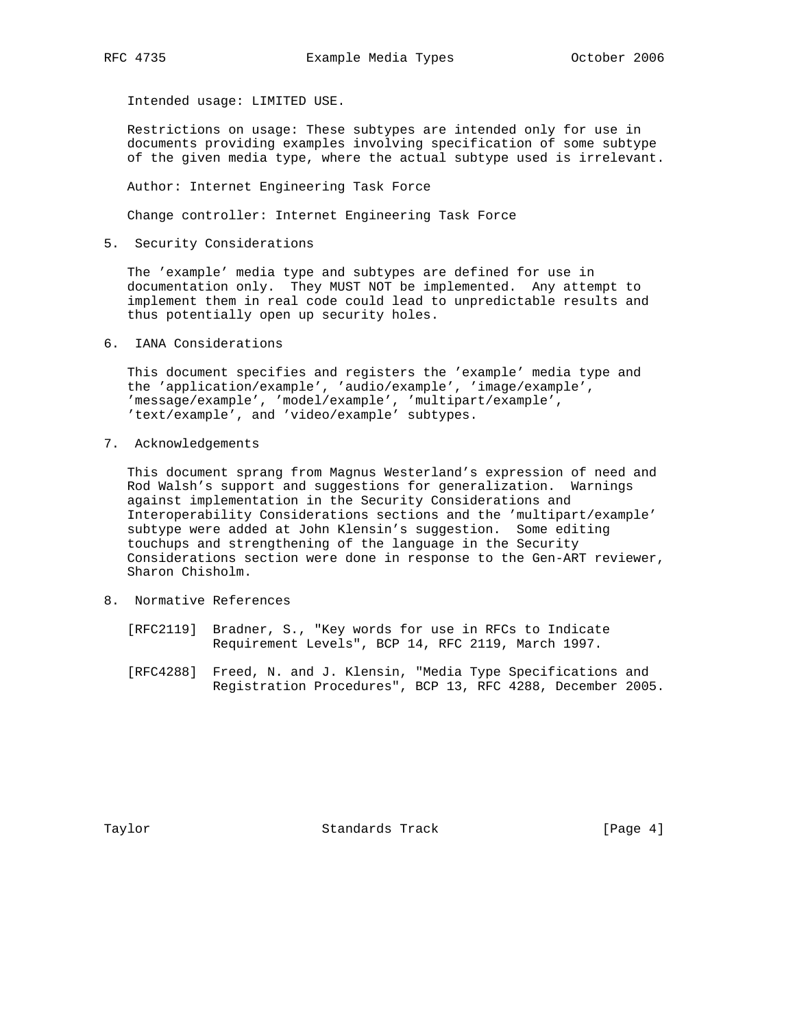Intended usage: LIMITED USE.

 Restrictions on usage: These subtypes are intended only for use in documents providing examples involving specification of some subtype of the given media type, where the actual subtype used is irrelevant.

Author: Internet Engineering Task Force

Change controller: Internet Engineering Task Force

5. Security Considerations

 The 'example' media type and subtypes are defined for use in documentation only. They MUST NOT be implemented. Any attempt to implement them in real code could lead to unpredictable results and thus potentially open up security holes.

6. IANA Considerations

 This document specifies and registers the 'example' media type and the 'application/example', 'audio/example', 'image/example', 'message/example', 'model/example', 'multipart/example', 'text/example', and 'video/example' subtypes.

7. Acknowledgements

 This document sprang from Magnus Westerland's expression of need and Rod Walsh's support and suggestions for generalization. Warnings against implementation in the Security Considerations and Interoperability Considerations sections and the 'multipart/example' subtype were added at John Klensin's suggestion. Some editing touchups and strengthening of the language in the Security Considerations section were done in response to the Gen-ART reviewer, Sharon Chisholm.

- 8. Normative References
	- [RFC2119] Bradner, S., "Key words for use in RFCs to Indicate Requirement Levels", BCP 14, RFC 2119, March 1997.
	- [RFC4288] Freed, N. and J. Klensin, "Media Type Specifications and Registration Procedures", BCP 13, RFC 4288, December 2005.

Taylor **Standards Track** [Page 4]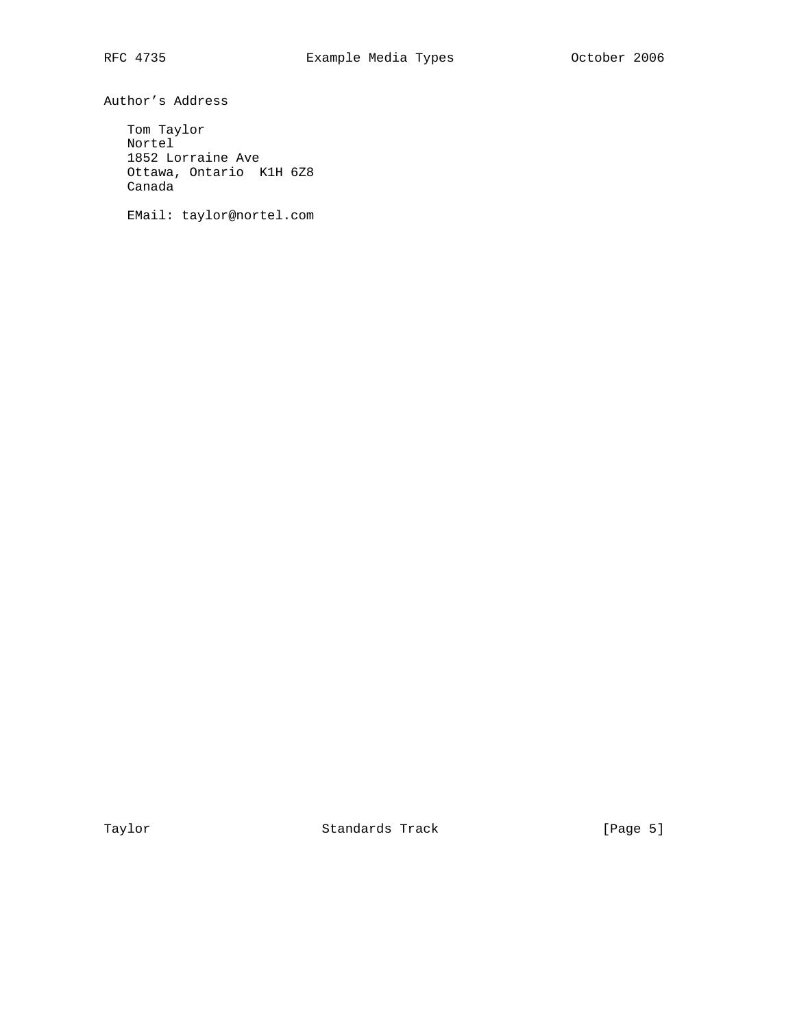Author's Address

 Tom Taylor Nortel 1852 Lorraine Ave Ottawa, Ontario K1H 6Z8 Canada

EMail: taylor@nortel.com

Taylor **Standards Track** [Page 5]